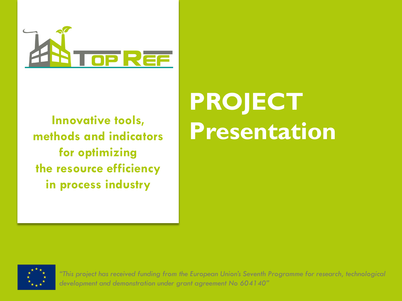

**Innovative tools, methods and indicators for optimizing the resource efficiency in process industry**

# **PROJECT Presentation**



*"This project has received funding from the European Union's Seventh Programme for research, technological development and demonstration under grant agreement No 604140"*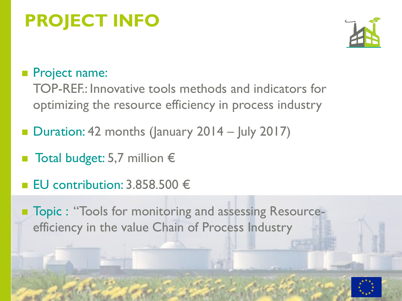## **PROJECT INFO**



#### Project name:

TOP-REF.: Innovative tools methods and indicators for optimizing the resource efficiency in process industry

- Duration: 42 months (January 2014 July 2017)
- Total budget: 5,7 million €
- EU contribution: 3.858.500 €
- Topic : "Tools for monitoring and assessing Resourceefficiency in the value Chain of Process Industry

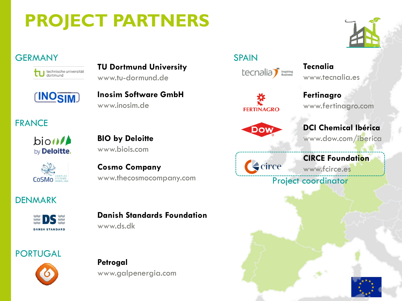## **PROJECT PARTNERS**

#### **GERMANY**



**TU Dortmund University** www.tu-dormund.de



**Inosim Software GmbH** www.inosim.de

#### FRANCE

bion<sup>1</sup> by Deloitte. **BIO by Deloitte** www.biois.com



**Cosmo Company** www.thecosmocompany.com

#### DENMARK



**Danish Standards Foundation**

www.ds.dk

#### PORTUGAL



**Petrogal** www.galpenergia.com



**Fertinagro** www.fertinagro.com

www.tecnalia.es

**Tecnalia**



**FERTINAGRO** 

**DCI Chemical Ibérica**

www.dow.com/iberica

### **S**circe

**CIRCE Foundation** www.fcirce.es

Project coordinator



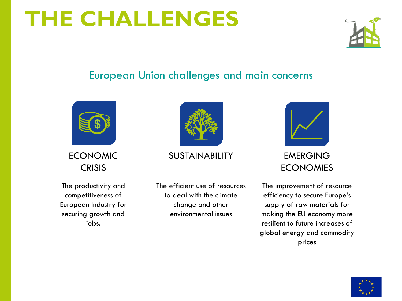## **THE CHALLENGES**



#### European Union challenges and main concerns



ECONOMIC **CRISIS** 

The productivity and competitiveness of European Industry for securing growth and jobs.



#### SUSTAINABILITY EMERGING

The efficient use of resources to deal with the climate change and other environmental issues



**ECONOMIES** 

The improvement of resource efficiency to secure Europe's supply of raw materials for making the EU economy more resilient to future increases of global energy and commodity prices

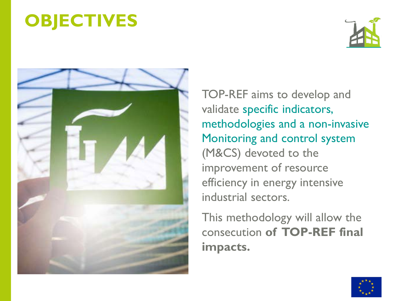## **OBJECTIVES**





TOP-REF aims to develop and validate specific indicators, methodologies and a non-invasive Monitoring and control system (M&CS) devoted to the improvement of resource efficiency in energy intensive industrial sectors.

This methodology will allow the consecution **of TOP-REF final impacts.**

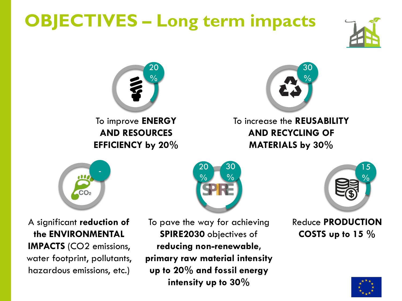## **OBJECTIVES – Long term impacts**





To improve **ENERGY AND RESOURCES EFFICIENCY by 20%**



To increase the **REUSABILITY AND RECYCLING OF MATERIALS by 30%**



A significant **reduction of the ENVIRONMENTAL IMPACTS** (CO2 emissions, water footprint, pollutants, hazardous emissions, etc.)



To pave the way for achieving **SPIRE2030** objectives of **reducing non-renewable, primary raw material intensity up to 20% and fossil energy intensity up to 30%**



Reduce **PRODUCTION COSTS up to 15 %**

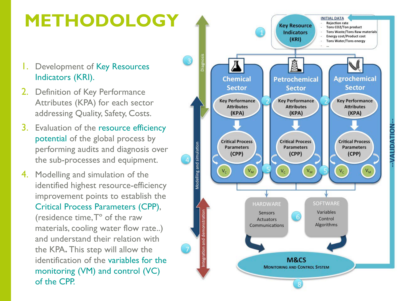

**ALIDATION**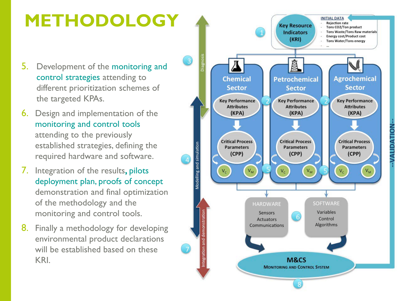### **METHODOLOGY**

- 5. Development of the monitoring and control strategies attending to different prioritization schemes of the targeted KPAs.
- 6. Design and implementation of the monitoring and control tools attending to the previously established strategies, defining the required hardware and software.
- 7. Integration of the results**,** pilots deployment plan, proofs of concept demonstration and final optimization of the methodology and the monitoring and control tools.
- 8. Finally a methodology for developing environmental product declarations will be established based on these KRI.



**ALIDATION**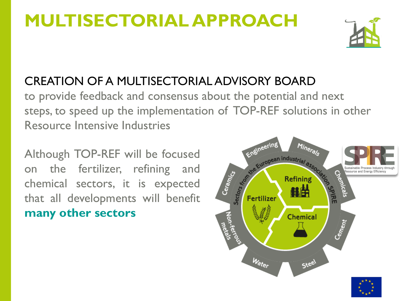### **MULTISECTORIAL APPROACH**



#### CREATION OF A MULTISECTORIAL ADVISORY BOARD

to provide feedback and consensus about the potential and next steps, to speed up the implementation of TOP-REF solutions in other Resource Intensive Industries

Although TOP-REF will be focused on the fertilizer, refining and chemical sectors, it is expected that all developments will benefit **many other sectors**

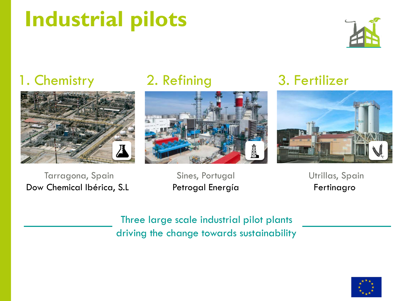## **Industrial pilots**



### 1. Chemistry



### 2. Refining



### 3. Fertilizer



Dow Chemical Ibérica, S.L Tarragona, Spain

Petrogal Energía Sines, Portugal

Utrillas, Spain Fertinagro

Three large scale industrial pilot plants driving the change towards sustainability